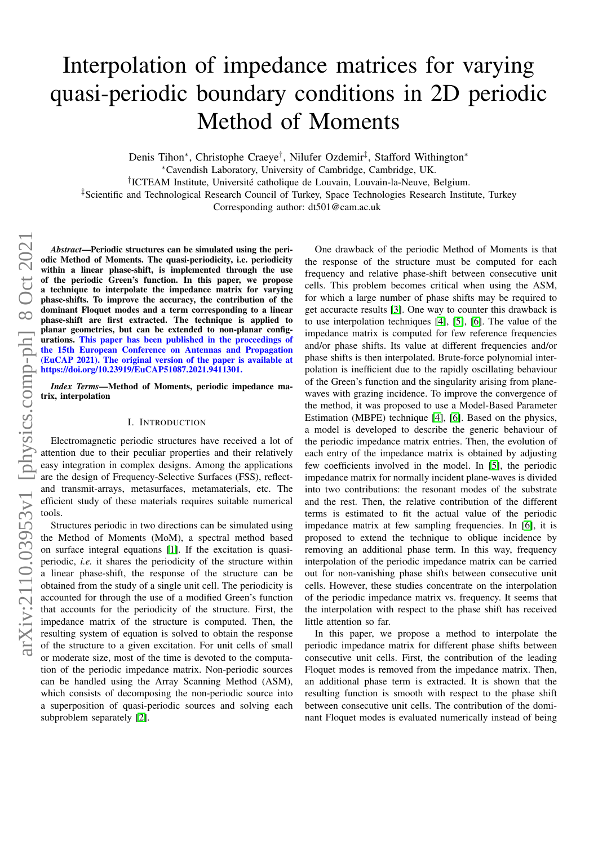# Interpolation of impedance matrices for varying quasi-periodic boundary conditions in 2D periodic Method of Moments

Denis Tihon\*, Christophe Craeye<sup>†</sup>, Nilufer Ozdemir<sup>‡</sup>, Stafford Withington\*

<sup>∗</sup>Cavendish Laboratory, University of Cambridge, Cambridge, UK.

<sup>†</sup>ICTEAM Institute, Université catholique de Louvain, Louvain-la-Neuve, Belgium.

‡Scientific and Technological Research Council of Turkey, Space Technologies Research Institute, Turkey

Corresponding author: dt501@cam.ac.uk

*Abstract*—Periodic structures can be simulated using the periodic Method of Moments. The quasi-periodicity, i.e. periodicity within a linear phase-shift, is implemented through the use of the periodic Green's function. In this paper, we propose a technique to interpolate the impedance matrix for varying phase-shifts. To improve the accuracy, the contribution of the dominant Floquet modes and a term corresponding to a linear phase-shift are first extracted. The technique is applied to planar geometries, but can be extended to non-planar configurations. This paper has been published in the proceedings of the 15th European Conference on Antennas and Propagation (EuCAP 2021). The original version of the paper is available at https://doi.org/10.23919/EuCAP51087.2021.9411301.

*Index Terms*—Method of Moments, periodic impedance matrix, interpolation

## I. INTRODUCTION

Electromagnetic periodic structures have received a lot of attention due to their peculiar properties and their relatively easy integration in complex designs. Among the applications are the design of Frequency-Selective Surfaces (FSS), reflectand transmit-arrays, metasurfaces, metamaterials, etc. The efficient study of these materials requires suitable numerical tools.

Structures periodic in two directions can be simulated using the Method of Moments (MoM), a spectral method based on surface integral equations [\[1\]](#page-4-0). If the excitation is quasiperiodic, *i.e.* it shares the periodicity of the structure within a linear phase-shift, the response of the structure can be obtained from the study of a single unit cell. The periodicity is accounted for through the use of a modified Green's function that accounts for the periodicity of the structure. First, the impedance matrix of the structure is computed. Then, the resulting system of equation is solved to obtain the response of the structure to a given excitation. For unit cells of small or moderate size, most of the time is devoted to the computation of the periodic impedance matrix. Non-periodic sources can be handled using the Array Scanning Method (ASM), which consists of decomposing the non-periodic source into a superposition of quasi-periodic sources and solving each subproblem separately [\[2\]](#page-4-1).

One drawback of the periodic Method of Moments is that the response of the structure must be computed for each frequency and relative phase-shift between consecutive unit cells. This problem becomes critical when using the ASM, for which a large number of phase shifts may be required to get accuracte results [\[3\]](#page-4-2). One way to counter this drawback is to use interpolation techniques [\[4\]](#page-4-3), [\[5\]](#page-4-4), [\[6\]](#page-4-5). The value of the impedance matrix is computed for few reference frequencies and/or phase shifts. Its value at different frequencies and/or phase shifts is then interpolated. Brute-force polynomial interpolation is inefficient due to the rapidly oscillating behaviour of the Green's function and the singularity arising from planewaves with grazing incidence. To improve the convergence of the method, it was proposed to use a Model-Based Parameter Estimation (MBPE) technique [\[4\]](#page-4-3), [\[6\]](#page-4-5). Based on the physics, a model is developed to describe the generic behaviour of the periodic impedance matrix entries. Then, the evolution of each entry of the impedance matrix is obtained by adjusting few coefficients involved in the model. In [\[5\]](#page-4-4), the periodic impedance matrix for normally incident plane-waves is divided into two contributions: the resonant modes of the substrate and the rest. Then, the relative contribution of the different terms is estimated to fit the actual value of the periodic impedance matrix at few sampling frequencies. In [\[6\]](#page-4-5), it is proposed to extend the technique to oblique incidence by removing an additional phase term. In this way, frequency interpolation of the periodic impedance matrix can be carried out for non-vanishing phase shifts between consecutive unit cells. However, these studies concentrate on the interpolation of the periodic impedance matrix vs. frequency. It seems that the interpolation with respect to the phase shift has received little attention so far.

In this paper, we propose a method to interpolate the periodic impedance matrix for different phase shifts between consecutive unit cells. First, the contribution of the leading Floquet modes is removed from the impedance matrix. Then, an additional phase term is extracted. It is shown that the resulting function is smooth with respect to the phase shift between consecutive unit cells. The contribution of the dominant Floquet modes is evaluated numerically instead of being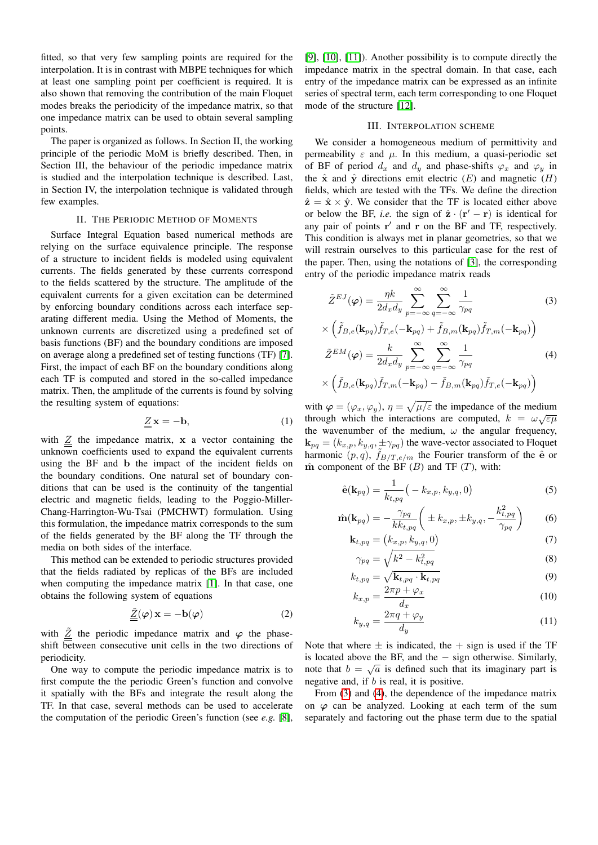fitted, so that very few sampling points are required for the interpolation. It is in contrast with MBPE techniques for which at least one sampling point per coefficient is required. It is also shown that removing the contribution of the main Floquet modes breaks the periodicity of the impedance matrix, so that one impedance matrix can be used to obtain several sampling points.

The paper is organized as follows. In Section II, the working principle of the periodic MoM is briefly described. Then, in Section III, the behaviour of the periodic impedance matrix is studied and the interpolation technique is described. Last, in Section IV, the interpolation technique is validated through few examples.

## II. THE PERIODIC METHOD OF MOMENTS

Surface Integral Equation based numerical methods are relying on the surface equivalence principle. The response of a structure to incident fields is modeled using equivalent currents. The fields generated by these currents correspond to the fields scattered by the structure. The amplitude of the equivalent currents for a given excitation can be determined by enforcing boundary conditions across each interface separating different media. Using the Method of Moments, the unknown currents are discretized using a predefined set of basis functions (BF) and the boundary conditions are imposed on average along a predefined set of testing functions (TF) [\[7\]](#page-4-6). First, the impact of each BF on the boundary conditions along each TF is computed and stored in the so-called impedance matrix. Then, the amplitude of the currents is found by solving the resulting system of equations:

$$
\underline{\underline{Z}}\mathbf{x} = -\mathbf{b},\tag{1}
$$

with  $\underline{Z}$  the impedance matrix, x a vector containing the unknown coefficients used to expand the equivalent currents using the BF and b the impact of the incident fields on the boundary conditions. One natural set of boundary conditions that can be used is the continuity of the tangential electric and magnetic fields, leading to the Poggio-Miller-Chang-Harrington-Wu-Tsai (PMCHWT) formulation. Using this formulation, the impedance matrix corresponds to the sum of the fields generated by the BF along the TF through the media on both sides of the interface.

This method can be extended to periodic structures provided that the fields radiated by replicas of the BFs are included when computing the impedance matrix [\[1\]](#page-4-0). In that case, one obtains the following system of equations

$$
\underline{\underline{\tilde{Z}}}(\varphi) \mathbf{x} = -\mathbf{b}(\varphi) \tag{2}
$$

with  $\frac{z}{\leq}$  the periodic impedance matrix and  $\varphi$  the phaseshift between consecutive unit cells in the two directions of periodicity.

One way to compute the periodic impedance matrix is to first compute the the periodic Green's function and convolve it spatially with the BFs and integrate the result along the TF. In that case, several methods can be used to accelerate the computation of the periodic Green's function (see *e.g.* [\[8\]](#page-4-7),

[\[9\]](#page-4-8), [\[10\]](#page-4-9), [\[11\]](#page-4-10)). Another possibility is to compute directly the impedance matrix in the spectral domain. In that case, each entry of the impedance matrix can be expressed as an infinite series of spectral term, each term corresponding to one Floquet mode of the structure [\[12\]](#page-4-11).

## III. INTERPOLATION SCHEME

We consider a homogeneous medium of permittivity and permeability  $\varepsilon$  and  $\mu$ . In this medium, a quasi-periodic set of BF of period  $d_x$  and  $d_y$  and phase-shifts  $\varphi_x$  and  $\varphi_y$  in the  $\hat{\mathbf{x}}$  and  $\hat{\mathbf{y}}$  directions emit electric  $(E)$  and magnetic  $(H)$ fields, which are tested with the TFs. We define the direction  $\hat{\mathbf{z}} = \hat{\mathbf{x}} \times \hat{\mathbf{y}}$ . We consider that the TF is located either above or below the BF, *i.e.* the sign of  $\hat{\mathbf{z}} \cdot (\mathbf{r}' - \mathbf{r})$  is identical for any pair of points  $r'$  and  $r$  on the BF and TF, respectively. This condition is always met in planar geometries, so that we will restrain ourselves to this particular case for the rest of the paper. Then, using the notations of [\[3\]](#page-4-2), the corresponding entry of the periodic impedance matrix reads

<span id="page-1-0"></span>
$$
\tilde{Z}^{EJ}(\varphi) = \frac{\eta k}{2d_x d_y} \sum_{p=-\infty}^{\infty} \sum_{q=-\infty}^{\infty} \frac{1}{\gamma_{pq}}
$$
(3)  

$$
\times \left( \tilde{f}_{B,e}(\mathbf{k}_{pq}) \tilde{f}_{T,e}(-\mathbf{k}_{pq}) + \tilde{f}_{B,m}(\mathbf{k}_{pq}) \tilde{f}_{T,m}(-\mathbf{k}_{pq}) \right)
$$

<span id="page-1-1"></span>
$$
\tilde{Z}^{EM}(\varphi) = \frac{k}{2d_xd_y} \sum_{p=-\infty}^{\infty} \sum_{q=-\infty}^{\infty} \frac{1}{\gamma_{pq}}
$$
(4)  

$$
\times \left( \tilde{f}_{B,e}(\mathbf{k}_{pq}) \tilde{f}_{T,m}(-\mathbf{k}_{pq}) - \tilde{f}_{B,m}(\mathbf{k}_{pq}) \tilde{f}_{T,e}(-\mathbf{k}_{pq}) \right)
$$

with  $\varphi = (\varphi_x, \varphi_y), \eta = \sqrt{\mu/\varepsilon}$  the impedance of the medium through which the interactions are computed,  $k = \omega \sqrt{\epsilon \mu}$ the wavenumber of the medium,  $\omega$  the angular frequency,  $\mathbf{k}_{pq} = (k_{x,p}, k_{y,q}, \pm \gamma_{pq})$  the wave-vector associated to Floquet harmonic  $(p, q)$ ,  $\tilde{f}_{B/T, e/m}$  the Fourier transform of the  $\hat{e}$  or  $m$  component of the BF (B) and TF (T), with:

$$
\hat{\mathbf{e}}(\mathbf{k}_{pq}) = \frac{1}{k_{t, pq}} \big( -k_{x, p}, k_{y, q}, 0 \big) \tag{5}
$$

$$
\hat{\mathbf{m}}(\mathbf{k}_{pq}) = -\frac{\gamma_{pq}}{kk_{t,pq}} \left( \pm k_{x,p}, \pm k_{y,q}, -\frac{k_{t,pq}^2}{\gamma_{pq}} \right) \tag{6}
$$

$$
\mathbf{k}_{t,pq} = (k_{x,p}, k_{y,q}, 0) \tag{7}
$$

$$
\gamma_{pq} = \sqrt{k^2 - k_{t, pq}^2} \tag{8}
$$

$$
k_{t,pq} = \sqrt{\mathbf{k}_{t,pq} \cdot \mathbf{k}_{t,pq}}
$$
\n
$$
2\pi n + \varphi
$$
\n(9)

$$
k_{x,p} = \frac{2\pi p + \varphi_x}{d_x} \tag{10}
$$

<span id="page-1-3"></span><span id="page-1-2"></span>
$$
k_{y,q} = \frac{2\pi q + \varphi_y}{d_y} \tag{11}
$$

Note that where  $\pm$  is indicated, the  $+$  sign is used if the TF is located above the BF, and the  $-$  sign otherwise. Similarly, note that  $b = \sqrt{a}$  is defined such that its imaginary part is negative and, if b is real, it is positive.

From [\(3\)](#page-1-0) and [\(4\)](#page-1-1), the dependence of the impedance matrix on  $\varphi$  can be analyzed. Looking at each term of the sum separately and factoring out the phase term due to the spatial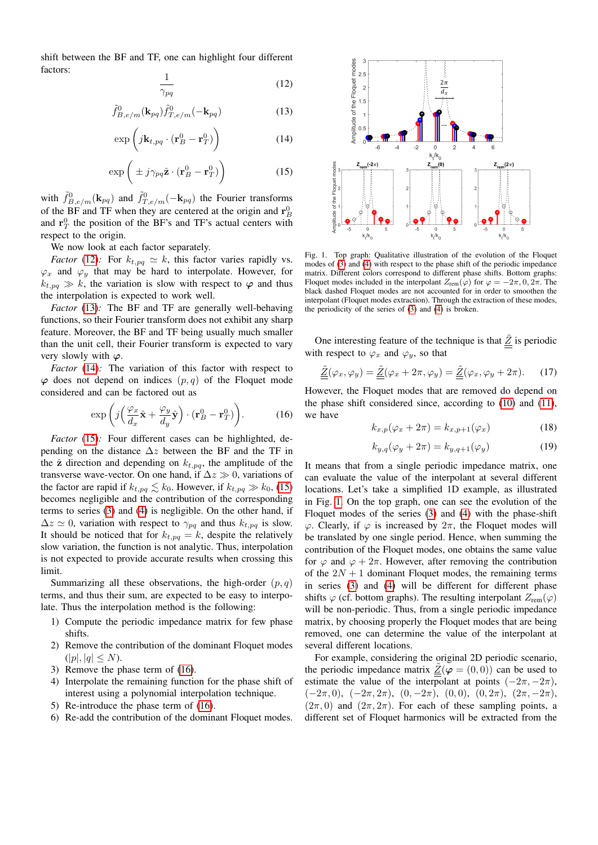shift between the BF and TF, one can highlight four different factors:

<span id="page-2-0"></span>
$$
\frac{1}{\gamma_{pq}}\tag{12}
$$

<span id="page-2-1"></span>
$$
\tilde{f}_{B,e/m}^0(\mathbf{k}_{pq})\tilde{f}_{T,e/m}^0(-\mathbf{k}_{pq})\tag{13}
$$

<span id="page-2-2"></span>
$$
\exp\left(j\mathbf{k}_{t,pq}\cdot(\mathbf{r}_B^0-\mathbf{r}_T^0)\right) \tag{14}
$$

<span id="page-2-3"></span>
$$
\exp\left(\pm j\gamma_{pq}\hat{\mathbf{z}}\cdot(\mathbf{r}_B^0-\mathbf{r}_T^0)\right) \tag{15}
$$

with  $\tilde{f}_{B,e/m}^{0}(\mathbf{k}_{pq})$  and  $\tilde{f}_{T,e/m}^{0}(-\mathbf{k}_{pq})$  the Fourier transforms of the BF and TF when they are centered at the origin and  $\mathbf{r}_{B}^{0}$ and  $\mathbf{r}_T^0$  the position of the BF's and TF's actual centers with respect to the origin.

We now look at each factor separately.

*Factor* [\(12\)](#page-2-0)*:* For  $k_{t,pq} \simeq k$ , this factor varies rapidly vs.  $\varphi_x$  and  $\varphi_y$  that may be hard to interpolate. However, for  $k_{t,na} \gg k$ , the variation is slow with respect to  $\varphi$  and thus the interpolation is expected to work well.

*Factor* [\(13\)](#page-2-1)*:* The BF and TF are generally well-behaving functions, so their Fourier transform does not exhibit any sharp feature. Moreover, the BF and TF being usually much smaller than the unit cell, their Fourier transform is expected to vary very slowly with  $\varphi$ .

*Factor* [\(14\)](#page-2-2): The variation of this factor with respect to  $\varphi$  does not depend on indices  $(p, q)$  of the Floquet mode considered and can be factored out as

<span id="page-2-4"></span>
$$
\exp\left(j\left(\frac{\varphi_x}{d_x}\hat{\mathbf{x}} + \frac{\varphi_y}{d_y}\hat{\mathbf{y}}\right)\cdot(\mathbf{r}_B^0 - \mathbf{r}_T^0)\right). \tag{16}
$$

*Factor* [\(15\)](#page-2-3): Four different cases can be highlighted, depending on the distance  $\Delta z$  between the BF and the TF in the  $\hat{z}$  direction and depending on  $k_{t,pq}$ , the amplitude of the transverse wave-vector. On one hand, if  $\Delta z \gg 0$ , variations of the factor are rapid if  $k_{t,pq} \lesssim k_0$ . However, if  $k_{t,pq} \gg k_0$ , [\(15\)](#page-2-3) becomes negligible and the contribution of the corresponding terms to series [\(3\)](#page-1-0) and [\(4\)](#page-1-1) is negligible. On the other hand, if  $\Delta z \simeq 0$ , variation with respect to  $\gamma_{pq}$  and thus  $k_{t,pq}$  is slow. It should be noticed that for  $k_{t,pq} = k$ , despite the relatively slow variation, the function is not analytic. Thus, interpolation is not expected to provide accurate results when crossing this limit.

Summarizing all these observations, the high-order  $(p, q)$ terms, and thus their sum, are expected to be easy to interpolate. Thus the interpolation method is the following:

- 1) Compute the periodic impedance matrix for few phase shifts.
- 2) Remove the contribution of the dominant Floquet modes  $(|p|, |q| \leq N).$
- 3) Remove the phase term of [\(16\)](#page-2-4).
- 4) Interpolate the remaining function for the phase shift of interest using a polynomial interpolation technique.
- 5) Re-introduce the phase term of [\(16\)](#page-2-4).
- 6) Re-add the contribution of the dominant Floquet modes.



<span id="page-2-5"></span>Fig. 1. Top graph: Qualitative illustration of the evolution of the Floquet modes of [\(3\)](#page-1-0) and [\(4\)](#page-1-1) with respect to the phase shift of the periodic impedance matrix. Different colors correspond to different phase shifts. Bottom graphs: Floquet modes included in the interpolant  $Z_{\text{rem}}(\varphi)$  for  $\varphi = -2\pi, 0, 2\pi$ . The black dashed Floquet modes are not accounted for in order to smoothen the interpolant (Floquet modes extraction). Through the extraction of these modes, the periodicity of the series of [\(3\)](#page-1-0) and [\(4\)](#page-1-1) is broken.

One interesting feature of the technique is that  $\tilde{Z}$  is periodic with respect to  $\varphi_x$  and  $\varphi_y$ , so that

$$
\underline{\tilde{Z}}(\varphi_x, \varphi_y) = \underline{\tilde{Z}}(\varphi_x + 2\pi, \varphi_y) = \underline{\tilde{Z}}(\varphi_x, \varphi_y + 2\pi). \tag{17}
$$

However, the Floquet modes that are removed do depend on the phase shift considered since, according to [\(10\)](#page-1-2) and [\(11\)](#page-1-3), we have

$$
k_{x,p}(\varphi_x + 2\pi) = k_{x,p+1}(\varphi_x)
$$
 (18)

$$
k_{y,q}(\varphi_y + 2\pi) = k_{y,q+1}(\varphi_y) \tag{19}
$$

It means that from a single periodic impedance matrix, one can evaluate the value of the interpolant at several different locations. Let's take a simplified 1D example, as illustrated in Fig. [1.](#page-2-5) On the top graph, one can see the evolution of the Floquet modes of the series [\(3\)](#page-1-0) and [\(4\)](#page-1-1) with the phase-shift  $\varphi$ . Clearly, if  $\varphi$  is increased by  $2\pi$ , the Floquet modes will be translated by one single period. Hence, when summing the contribution of the Floquet modes, one obtains the same value for  $\varphi$  and  $\varphi + 2\pi$ . However, after removing the contribution of the  $2N + 1$  dominant Floquet modes, the remaining terms in series [\(3\)](#page-1-0) and [\(4\)](#page-1-1) will be different for different phase shifts  $\varphi$  (cf. bottom graphs). The resulting interpolant  $Z_{\text{rem}}(\varphi)$ will be non-periodic. Thus, from a single periodic impedance matrix, by choosing properly the Floquet modes that are being removed, one can determine the value of the interpolant at several different locations.

For example, considering the original 2D periodic scenario, the periodic impedance matrix  $\underline{\tilde{Z}}(\varphi = (0,0))$  can be used to estimate the value of the interpolant at points  $(-2\pi, -2\pi)$ ,  $(-2\pi, 0), \; (-2\pi, 2\pi), \; (0, -2\pi), \; (0, 0), \; (0, 2\pi), \; (2\pi, -2\pi),$  $(2\pi, 0)$  and  $(2\pi, 2\pi)$ . For each of these sampling points, a different set of Floquet harmonics will be extracted from the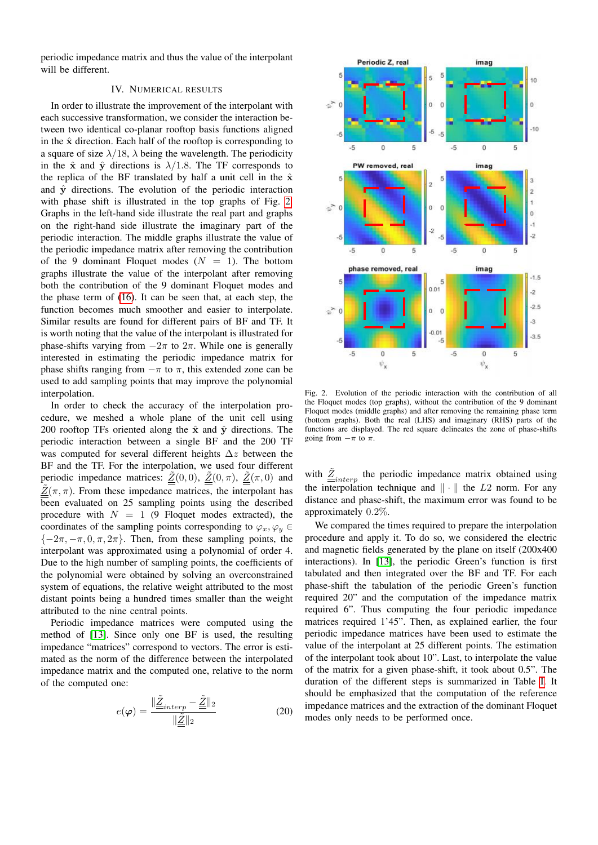periodic impedance matrix and thus the value of the interpolant will be different.

## IV. NUMERICAL RESULTS

In order to illustrate the improvement of the interpolant with each successive transformation, we consider the interaction between two identical co-planar rooftop basis functions aligned in the  $\hat{x}$  direction. Each half of the rooftop is corresponding to a square of size  $\lambda/18$ ,  $\lambda$  being the wavelength. The periodicity in the  $\hat{x}$  and  $\hat{y}$  directions is  $\lambda/1.8$ . The TF corresponds to the replica of the BF translated by half a unit cell in the  $\hat{x}$ and  $\hat{y}$  directions. The evolution of the periodic interaction with phase shift is illustrated in the top graphs of Fig. [2.](#page-3-0) Graphs in the left-hand side illustrate the real part and graphs on the right-hand side illustrate the imaginary part of the periodic interaction. The middle graphs illustrate the value of the periodic impedance matrix after removing the contribution of the 9 dominant Floquet modes  $(N = 1)$ . The bottom graphs illustrate the value of the interpolant after removing both the contribution of the 9 dominant Floquet modes and the phase term of [\(16\)](#page-2-4). It can be seen that, at each step, the function becomes much smoother and easier to interpolate. Similar results are found for different pairs of BF and TF. It is worth noting that the value of the interpolant is illustrated for phase-shifts varying from  $-2\pi$  to  $2\pi$ . While one is generally interested in estimating the periodic impedance matrix for phase shifts ranging from  $-\pi$  to  $\pi$ , this extended zone can be used to add sampling points that may improve the polynomial interpolation.

In order to check the accuracy of the interpolation procedure, we meshed a whole plane of the unit cell using 200 rooftop TFs oriented along the  $\hat{x}$  and  $\hat{y}$  directions. The periodic interaction between a single BF and the 200 TF was computed for several different heights  $\Delta z$  between the BF and the TF. For the interpolation, we used four different periodic impedance matrices:  $\underline{\tilde{Z}}(0,0), \underline{\tilde{Z}}(0,\pi), \underline{\tilde{Z}}(\pi,0)$  and  $\tilde{Z}(\pi, \pi)$ . From these impedance matrices, the interpolant has been evaluated on 25 sampling points using the described procedure with  $N = 1$  (9 Floquet modes extracted), the coordinates of the sampling points corresponding to  $\varphi_x, \varphi_y \in$  ${-2\pi, -\pi, 0, \pi, 2\pi}$ . Then, from these sampling points, the interpolant was approximated using a polynomial of order 4. Due to the high number of sampling points, the coefficients of the polynomial were obtained by solving an overconstrained system of equations, the relative weight attributed to the most distant points being a hundred times smaller than the weight attributed to the nine central points.

Periodic impedance matrices were computed using the method of [\[13\]](#page-4-12). Since only one BF is used, the resulting impedance "matrices" correspond to vectors. The error is estimated as the norm of the difference between the interpolated impedance matrix and the computed one, relative to the norm of the computed one:

$$
e(\varphi) = \frac{\|\underline{\tilde{Z}}_{interp} - \underline{\tilde{Z}}\|_2}{\|\underline{\tilde{Z}}\|_2}
$$
(20)



<span id="page-3-0"></span>Fig. 2. Evolution of the periodic interaction with the contribution of all the Floquet modes (top graphs), without the contribution of the 9 dominant Floquet modes (middle graphs) and after removing the remaining phase term (bottom graphs). Both the real (LHS) and imaginary (RHS) parts of the functions are displayed. The red square delineates the zone of phase-shifts going from  $-\pi$  to  $\pi$ .

with  $\underline{\tilde{Z}}_{interp}$  the periodic impedance matrix obtained using the interpolation technique and  $\|\cdot\|$  the L2 norm. For any distance and phase-shift, the maximum error was found to be approximately 0.2%.

We compared the times required to prepare the interpolation procedure and apply it. To do so, we considered the electric and magnetic fields generated by the plane on itself (200x400 interactions). In [\[13\]](#page-4-12), the periodic Green's function is first tabulated and then integrated over the BF and TF. For each phase-shift the tabulation of the periodic Green's function required 20" and the computation of the impedance matrix required 6". Thus computing the four periodic impedance matrices required 1'45". Then, as explained earlier, the four periodic impedance matrices have been used to estimate the value of the interpolant at 25 different points. The estimation of the interpolant took about 10". Last, to interpolate the value of the matrix for a given phase-shift, it took about 0.5". The duration of the different steps is summarized in Table [I.](#page-4-13) It should be emphasized that the computation of the reference impedance matrices and the extraction of the dominant Floquet modes only needs to be performed once.